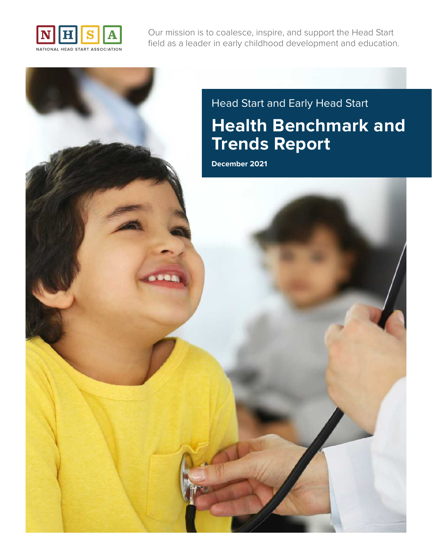

Our mission is to coalesce, inspire, and support the Head Start field as a leader in early childhood development and education.

# Head Start and Early Head Start **Health Benchmark and Trends Report**

**December 2021**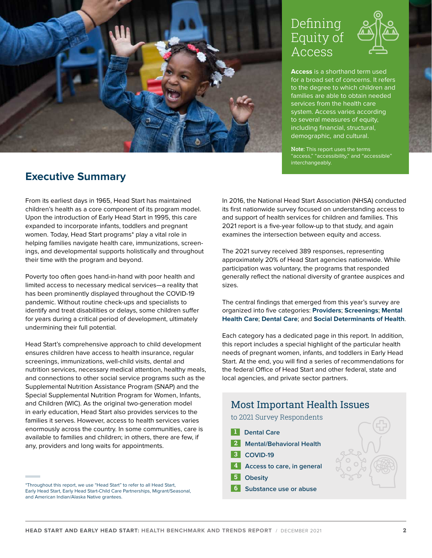

# Defining Equity of Access



**Access** is a shorthand term used for a broad set of concerns. It refers to the degree to which children and families are able to obtain needed services from the health care system. Access varies according to several measures of equity, including financial, structural, demographic, and cultural.

Note: This report uses the terms "accessibility," and "accessible" interchangeably.

# **Executive Summary**

From its earliest days in 1965, Head Start has maintained children's health as a core component of its program model. Upon the introduction of Early Head Start in 1995, this care expanded to incorporate infants, toddlers and pregnant women. Today, Head Start programs\* play a vital role in helping families navigate health care, immunizations, screenings, and developmental supports holistically and throughout their time with the program and beyond.

Poverty too often goes hand-in-hand with poor health and limited access to necessary medical services—a reality that has been prominently displayed throughout the COVID-19 pandemic. Without routine check-ups and specialists to identify and treat disabilities or delays, some children suffer for years during a critical period of development, ultimately undermining their full potential.

Head Start's comprehensive approach to child development ensures children have access to health insurance, regular screenings, immunizations, well-child visits, dental and nutrition services, necessary medical attention, healthy meals, and connections to other social service programs such as the Supplemental Nutrition Assistance Program (SNAP) and the Special Supplemental Nutrition Program for Women, Infants, and Children (WIC). As the original two-generation model in early education, Head Start also provides services to the families it serves. However, access to health services varies enormously across the country. In some communities, care is available to families and children; in others, there are few, if any, providers and long waits for appointments.

\*Throughout this report, we use "Head Start" to refer to all Head Start,<br>Early Head Start, Early Head Start-Child Care Partnerships, Migrant/Seasonal, **Child Start, Care of Start, Early Head Start**, Care Partnerships, Migr and American Indian/Alaska Native grantees.

In 2016, the National Head Start Association (NHSA) conducted its first nationwide survey focused on understanding access to and support of health services for children and families. This 2021 report is a five-year follow-up to that study, and again examines the intersection between equity and access.

The 2021 survey received 389 responses, representing approximately 20% of Head Start agencies nationwide. While participation was voluntary, the programs that responded generally reflect the national diversity of grantee auspices and sizes.

The central findings that emerged from this year's survey are organized into five categories: **Providers**; **Screenings**; **Mental Health Care**; **Dental Care**; and **Social Determinants of Health**.

Each category has a dedicated page in this report. In addition, this report includes a special highlight of the particular health needs of pregnant women, infants, and toddlers in Early Head Start. At the end, you will find a series of recommendations for the federal Office of Head Start and other federal, state and local agencies, and private sector partners.

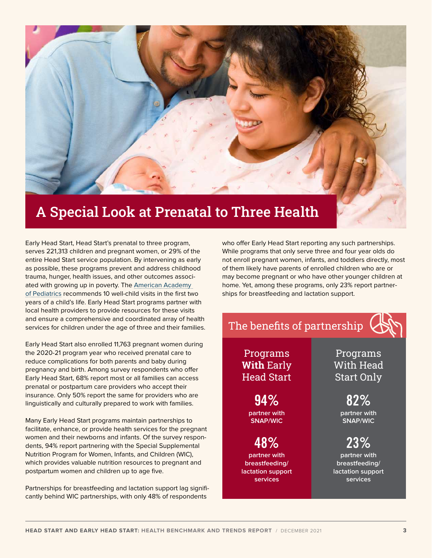

# A Special Look at Prenatal to Three Health

Early Head Start, Head Start's prenatal to three program, serves 221,313 children and pregnant women, or 29% of the entire Head Start service population. By intervening as early as possible, these programs prevent and address childhood trauma, hunger, health issues, and other outcomes associated with growing up in poverty. The [American Academy](https://healthychildren.org/English/ages-stages/Your-Childs-Checkups/Pages/default.aspx)  [of Pediatrics](https://healthychildren.org/English/ages-stages/Your-Childs-Checkups/Pages/default.aspx) recommends 10 well-child visits in the first two years of a child's life. Early Head Start programs partner with local health providers to provide resources for these visits and ensure a comprehensive and coordinated array of health services for children under the age of three and their families.

Early Head Start also enrolled 11,763 pregnant women during the 2020-21 program year who received prenatal care to reduce complications for both parents and baby during pregnancy and birth. Among survey respondents who offer Early Head Start, 68% report most or all families can access prenatal or postpartum care providers who accept their insurance. Only 50% report the same for providers who are linguistically and culturally prepared to work with families.

Many Early Head Start programs maintain partnerships to facilitate, enhance, or provide health services for the pregnant women and their newborns and infants. Of the survey respondents, 94% report partnering with the Special Supplemental Nutrition Program for Women, Infants, and Children (WIC), which provides valuable nutrition resources to pregnant and postpartum women and children up to age five.

Partnerships for breastfeeding and lactation support lag significantly behind WIC partnerships, with only 48% of respondents

who offer Early Head Start reporting any such partnerships. While programs that only serve three and four year olds do not enroll pregnant women, infants, and toddlers directly, most of them likely have parents of enrolled children who are or may become pregnant or who have other younger children at home. Yet, among these programs, only 23% report partnerships for breastfeeding and lactation support.

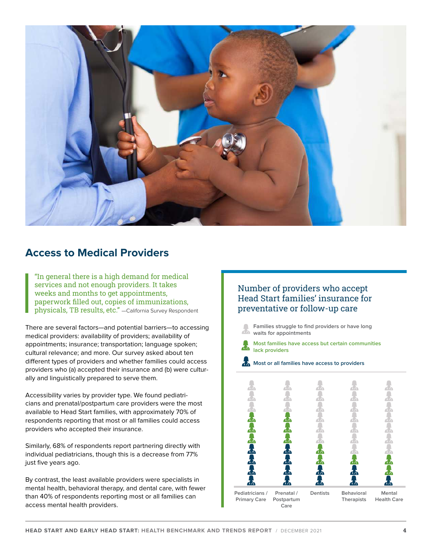

## **Access to Medical Providers**

"In general there is a high demand for medical services and not enough providers. It takes weeks and months to get appointments, paperwork filled out, copies of immunizations, physicals, TB results, etc." —California Survey Respondent

There are several factors—and potential barriers—to accessing medical providers: availability of providers; availability of appointments; insurance; transportation; language spoken; cultural relevance; and more. Our survey asked about ten different types of providers and whether families could access providers who (a) accepted their insurance and (b) were culturally and linguistically prepared to serve them.

Accessibility varies by provider type. We found pediatricians and prenatal/postpartum care providers were the most available to Head Start families, with approximately 70% of respondents reporting that most or all families could access providers who accepted their insurance.

Similarly, 68% of respondents report partnering directly with individual pediatricians, though this is a decrease from 77% just five years ago.

By contrast, the least available providers were specialists in mental health, behavioral therapy, and dental care, with fewer than 40% of respondents reporting most or all families can access mental health providers.

### Number of providers who accept Head Start families' insurance for preventative or follow-up care

**Families struggle to find providers or have long waits for appointments** 

**Most families have access but certain communities lack providers**

**Most or all families have access to providers** 

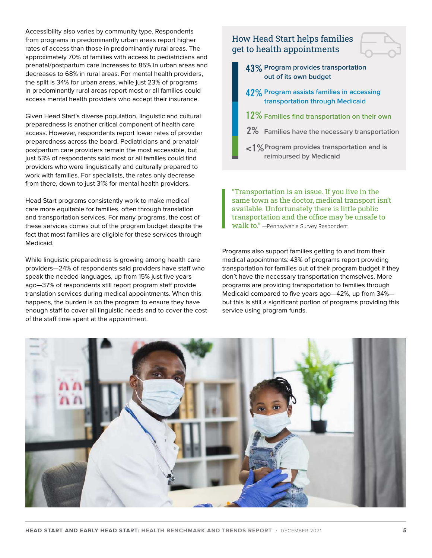Accessibility also varies by community type. Respondents from programs in predominantly urban areas report higher rates of access than those in predominantly rural areas. The approximately 70% of families with access to pediatricians and prenatal/postpartum care increases to 85% in urban areas and decreases to 68% in rural areas. For mental health providers, the split is 34% for urban areas, while just 23% of programs in predominantly rural areas report most or all families could access mental health providers who accept their insurance.

Given Head Start's diverse population, linguistic and cultural preparedness is another critical component of health care access. However, respondents report lower rates of provider preparedness across the board. Pediatricians and prenatal/ postpartum care providers remain the most accessible, but just 53% of respondents said most or all families could find providers who were linguistically and culturally prepared to work with families. For specialists, the rates only decrease from there, down to just 31% for mental health providers.

Head Start programs consistently work to make medical care more equitable for families, often through translation and transportation services. For many programs, the cost of these services comes out of the program budget despite the fact that most families are eligible for these services through Medicaid.

While linguistic preparedness is growing among health care providers—24% of respondents said providers have staff who speak the needed languages, up from 15% just five years ago—37% of respondents still report program staff provide translation services during medical appointments. When this happens, the burden is on the program to ensure they have enough staff to cover all linguistic needs and to cover the cost of the staff time spent at the appointment.

#### How Head Start helps families get to health appointments



- **42%Program assists families in accessing transportation through Medicaid**
- **12%Families find transportation on their own**
- **2% Families have the necessary transportation**
- **<1%Program provides transportation and is reimbursed by Medicaid**

"Transportation is an issue. If you live in the same town as the doctor, medical transport isn't available. Unfortunately there is little public transportation and the office may be unsafe to walk to." —Pennsylvania Survey Respondent

Programs also support families getting to and from their medical appointments: 43% of programs report providing transportation for families out of their program budget if they don't have the necessary transportation themselves. More programs are providing transportation to families through Medicaid compared to five years ago—42%, up from 34% but this is still a significant portion of programs providing this service using program funds.

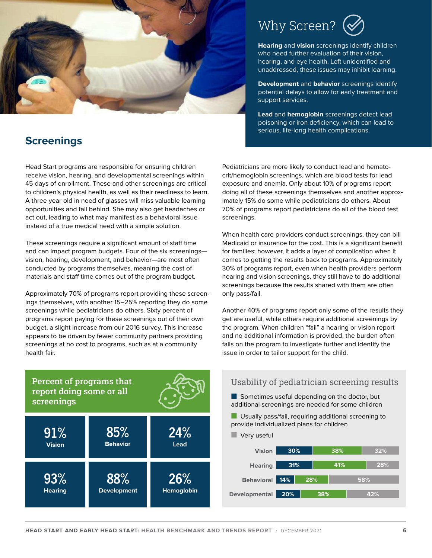

# **Screenings**

Head Start programs are responsible for ensuring children receive vision, hearing, and developmental screenings within 45 days of enrollment. These and other screenings are critical to children's physical health, as well as their readiness to learn. A three year old in need of glasses will miss valuable learning opportunities and fall behind. She may also get headaches or act out, leading to what may manifest as a behavioral issue instead of a true medical need with a simple solution.

These screenings require a significant amount of staff time and can impact program budgets. Four of the six screenings vision, hearing, development, and behavior—are most often conducted by programs themselves, meaning the cost of materials and staff time comes out of the program budget.

Approximately 70% of programs report providing these screenings themselves, with another 15–25% reporting they do some screenings while pediatricians do others. Sixty percent of programs report paying for these screenings out of their own budget, a slight increase from our 2016 survey. This increase appears to be driven by fewer community partners providing screenings at no cost to programs, such as at a community health fair.

Why Screen?

**Hearing** and **vision** screenings identify children who need further evaluation of their vision, hearing, and eye health. Left unidentified and unaddressed, these issues may inhibit learning.

**Development** and **behavior** screenings identify potential delays to allow for early treatment and support services.

**Lead** and **hemoglobin** screenings detect lead poisoning or iron deficiency, which can lead to serious, life-long health complications.

Pediatricians are more likely to conduct lead and hematocrit/hemoglobin screenings, which are blood tests for lead exposure and anemia. Only about 10% of programs report doing all of these screenings themselves and another approximately 15% do some while pediatricians do others. About 70% of programs report pediatricians do all of the blood test screenings.

When health care providers conduct screenings, they can bill Medicaid or insurance for the cost. This is a significant benefit for families; however, it adds a layer of complication when it comes to getting the results back to programs. Approximately 30% of programs report, even when health providers perform hearing and vision screenings, they still have to do additional screenings because the results shared with them are often only pass/fail.

Another 40% of programs report only some of the results they get are useful, while others require additional screenings by the program. When children "fail" a hearing or vision report and no additional information is provided, the burden often falls on the program to investigate further and identify the issue in order to tailor support for the child.



### Usability of pediatrician screening results

■ Sometimes useful depending on the doctor, but additional screenings are needed for some children

■ Usually pass/fail, requiring additional screening to provide individualized plans for children

■ Very useful

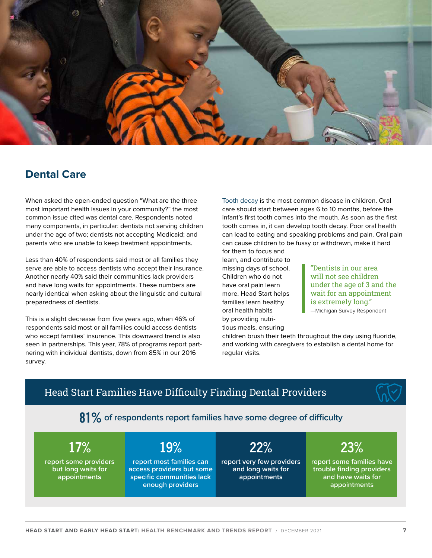

## **Dental Care**

When asked the open-ended question "What are the three most important health issues in your community?" the most common issue cited was dental care. Respondents noted many components, in particular: dentists not serving children under the age of two; dentists not accepting Medicaid; and parents who are unable to keep treatment appointments.

Less than 40% of respondents said most or all families they serve are able to access dentists who accept their insurance. Another nearly 40% said their communities lack providers and have long waits for appointments. These numbers are nearly identical when asking about the linguistic and cultural preparedness of dentists.

This is a slight decrease from five years ago, when 46% of respondents said most or all families could access dentists who accept families' insurance. This downward trend is also seen in partnerships. This year, 78% of programs report partnering with individual dentists, down from 85% in our 2016 survey.

[Tooth decay](https://www.cdc.gov/oralhealth/basics/childrens-oral-health/index.html) is the most common disease in children. Oral care should start between ages 6 to 10 months, before the infant's first tooth comes into the mouth. As soon as the first tooth comes in, it can develop tooth decay. Poor oral health can lead to eating and speaking problems and pain. Oral pain can cause children to be fussy or withdrawn, make it hard for them to focus and

learn, and contribute to missing days of school. Children who do not have oral pain learn more. Head Start helps families learn healthy oral health habits by providing nutritious meals, ensuring

"Dentists in our area will not see children under the age of 3 and the wait for an appointment is extremely long."

—Michigan Survey Respondent

children brush their teeth throughout the day using fluoride, and working with caregivers to establish a dental home for regular visits.

| Head Start Families Have Difficulty Finding Dental Providers       |                                                                                                                      |                                                                        |                                                                                                     |
|--------------------------------------------------------------------|----------------------------------------------------------------------------------------------------------------------|------------------------------------------------------------------------|-----------------------------------------------------------------------------------------------------|
| 81% of respondents report families have some degree of difficulty  |                                                                                                                      |                                                                        |                                                                                                     |
| 17%<br>report some providers<br>but long waits for<br>appointments | <b>19%</b><br>report most families can<br>access providers but some<br>specific communities lack<br>enough providers | 22%<br>report very few providers<br>and long waits for<br>appointments | 23%<br>report some families have<br>trouble finding providers<br>and have waits for<br>appointments |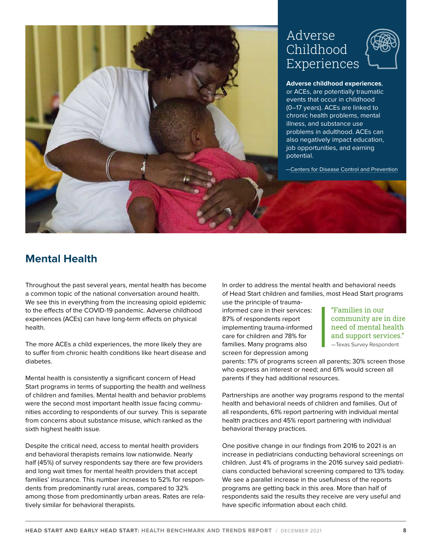

# **Mental Health**

Throughout the past several years, mental health has become a common topic of the national conversation around health. We see this in everything from the increasing opioid epidemic to the effects of the COVID-19 pandemic. Adverse childhood experiences (ACEs) can have long-term effects on physical health.

The more ACEs a child experiences, the more likely they are to suffer from chronic health conditions like heart disease and diabetes.

Mental health is consistently a significant concern of Head Start programs in terms of supporting the health and wellness of children and families. Mental health and behavior problems were the second most important health issue facing communities according to respondents of our survey. This is separate from concerns about substance misuse, which ranked as the sixth highest health issue.

Despite the critical need, access to mental health providers and behavioral therapists remains low nationwide. Nearly half (45%) of survey respondents say there are few providers and long wait times for mental health providers that accept families' insurance. This number increases to 52% for respondents from predominantly rural areas, compared to 32% among those from predominantly urban areas. Rates are relatively similar for behavioral therapists.

In order to address the mental health and behavioral needs of Head Start children and families, most Head Start programs

use the principle of traumainformed care in their services: 87% of respondents report implementing trauma-informed care for children and 78% for families. Many programs also screen for depression among

"Families in our community are in dire need of mental health and support services." —Texas Survey Respondent

parents: 17% of programs screen all parents; 30% screen those who express an interest or need; and 61% would screen all parents if they had additional resources.

Partnerships are another way programs respond to the mental health and behavioral needs of children and families. Out of all respondents, 61% report partnering with individual mental health practices and 45% report partnering with individual behavioral therapy practices.

One positive change in our findings from 2016 to 2021 is an increase in pediatricians conducting behavioral screenings on children. Just 4% of programs in the 2016 survey said pediatricians conducted behavioral screening compared to 13% today. We see a parallel increase in the usefulness of the reports programs are getting back in this area. More than half of respondents said the results they receive are very useful and have specific information about each child.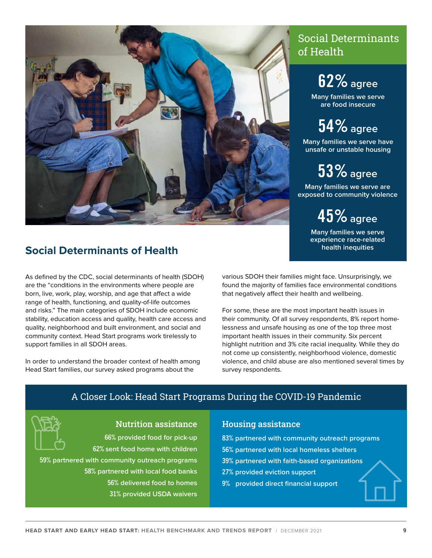

# Social Determinants of Health

# **62%agree**

**Many families we serve are food insecure**

**54%agree**

**Many families we serve have unsafe or unstable housing**

# **53%agree**

**Many families we serve are exposed to community violence**

**45%agree**

**Many families we serve experience race-related health inequities**

# **Social Determinants of Health**

As defined by the CDC, social determinants of health (SDOH) are the "conditions in the environments where people are born, live, work, play, worship, and age that affect a wide range of health, functioning, and quality-of-life outcomes and risks." The main categories of SDOH include economic stability, education access and quality, health care access and quality, neighborhood and built environment, and social and community context. Head Start programs work tirelessly to support families in all SDOH areas.

In order to understand the broader context of health among Head Start families, our survey asked programs about the

various SDOH their families might face. Unsurprisingly, we found the majority of families face environmental conditions that negatively affect their health and wellbeing.

For some, these are the most important health issues in their community. Of all survey respondents, 8% report homelessness and unsafe housing as one of the top three most important health issues in their community. Six percent highlight nutrition and 3% cite racial inequality. While they do not come up consistently, neighborhood violence, domestic violence, and child abuse are also mentioned several times by survey respondents.

## A Closer Look: Head Start Programs During the COVID-19 Pandemic



#### Nutrition assistance

66% **provided food for pick-up** 62% **sent food home with children** 59% **partnered with community outreach programs** 58% **partnered with local food banks** 56% **delivered food to homes** 31% **provided USDA waivers**

#### Housing assistance

83% **partnered with community outreach programs** 56% **partnered with local homeless shelters** 39% **partnered with faith-based organizations** 27% **provided eviction support**

9% **provided direct financial support**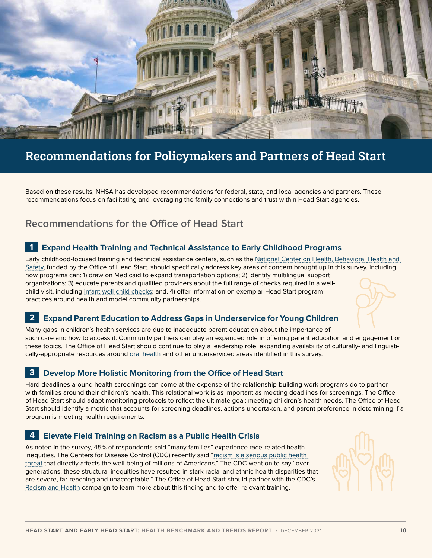

# Recommendations for Policymakers and Partners of Head Start

Based on these results, NHSA has developed recommendations for federal, state, and local agencies and partners. These recommendations focus on facilitating and leveraging the family connections and trust within Head Start agencies.

## **Recommendations for the Office of Head Start**

#### **1 Expand Health Training and Technical Assistance to Early Childhood Programs**

Early childhood-focused training and technical assistance centers, such as the [National Center on](https://www.edc.org/national-center-health-behavioral-health-and-safety) [Health, Behavioral Health and](https://www.edc.org/national-center-health-behavioral-health-and-safety)  [Safety,](https://www.edc.org/national-center-health-behavioral-health-and-safety) funded by the Office of Head Start, should specifically address key areas of concern brought up in this survey, including how programs can: 1) draw on Medicaid to expand transportation options; 2) identify multilingual support organizations; 3) educate parents and qualified providers about the full range of checks required in a wellchild visit, including [infant well-child checks;](https://www.medicaid.gov/medicaid/quality-of-care/improvement-initiatives/well-child-care/index.html) and, 4) offer information on exemplar Head Start program practices around health and model community partnerships.

#### **2 Expand Parent Education to Address Gaps in Underservice for Young Children**

Many gaps in children's health services are due to inadequate parent education about the importance of such care and how to access it. Community partners can play an expanded role in offering parent education and engagement on these topics. The Office of Head Start should continue to play a leadership role, expanding availability of culturally- and linguistically-appropriate resources around [ora](https://eclkc.ohs.acf.hhs.gov/oral-health)l [health](https://eclkc.ohs.acf.hhs.gov/oral-health) and other underserviced areas identified in this survey.

#### **3 Develop More Holistic Monitoring from the Office of Head Start**

Hard deadlines around health screenings can come at the expense of the relationship-building work programs do to partner with families around their children's health. This relational work is as important as meeting deadlines for screenings. The Office of Head Start should adapt monitoring protocols to reflect the ultimate goal: meeting children's health needs. The Office of Head Start should identify a metric that accounts for screening deadlines, actions undertaken, and parent preference in determining if a program is meeting health requirements.

#### **4 Elevate Field Training on Racism as a Public Health Crisis**

As noted in the survey, 45% of respondents said "many families" experience race-related health inequities. The Centers for Disease Control (CDC) recently said "[racism is a serious public health](https://www.cdc.gov/media/releases/2021/s0408-racism-health.html)  [threat](https://www.cdc.gov/media/releases/2021/s0408-racism-health.html) that directly affects the well-being of millions of Americans." The CDC went on to say "over generations, these structural inequities have resulted in stark racial and ethnic health disparities that are severe, far-reaching and unacceptable." The Office of Head Start should partner with the CDC's [Racism and Health c](https://www.cdc.gov/healthequity/racism-disparities/index.html)ampaign to learn more about this finding and to offer relevant training.